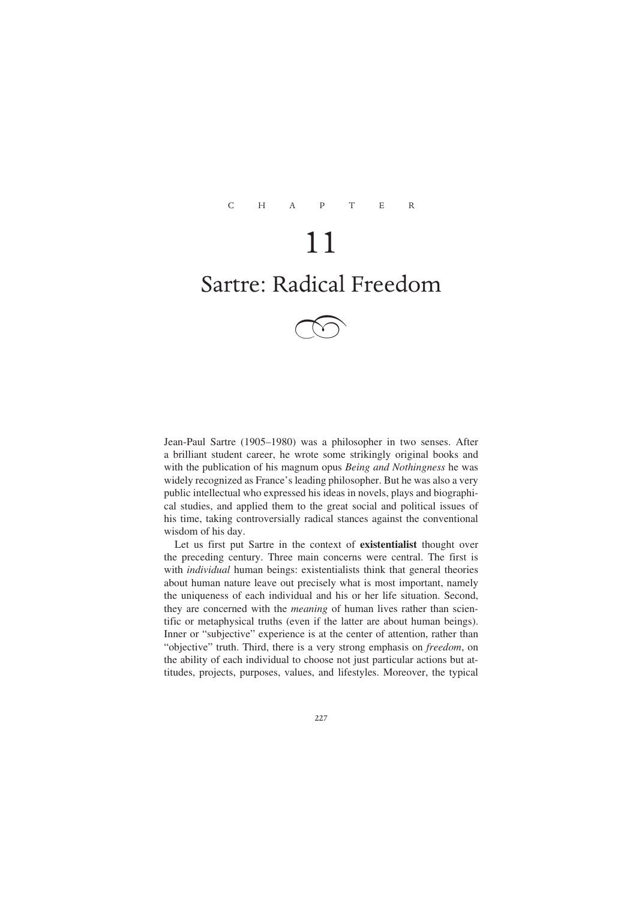#### C H A P T E R

# 11 Sartre: Radical Freedom  $\infty$

Jean-Paul Sartre (1905–1980) was a philosopher in two senses. After a brilliant student career, he wrote some strikingly original books and with the publication of his magnum opus *Being and Nothingness* he was widely recognized as France's leading philosopher. But he was also a very public intellectual who expressed his ideas in novels, plays and biographical studies, and applied them to the great social and political issues of his time, taking controversially radical stances against the conventional wisdom of his day.

Let us first put Sartre in the context of **existentialist** thought over the preceding century. Three main concerns were central. The first is with *individual* human beings: existentialists think that general theories about human nature leave out precisely what is most important, namely the uniqueness of each individual and his or her life situation. Second, they are concerned with the *meaning* of human lives rather than scientific or metaphysical truths (even if the latter are about human beings). Inner or "subjective" experience is at the center of attention, rather than "objective" truth. Third, there is a very strong emphasis on *freedom*, on the ability of each individual to choose not just particular actions but attitudes, projects, purposes, values, and lifestyles. Moreover, the typical

227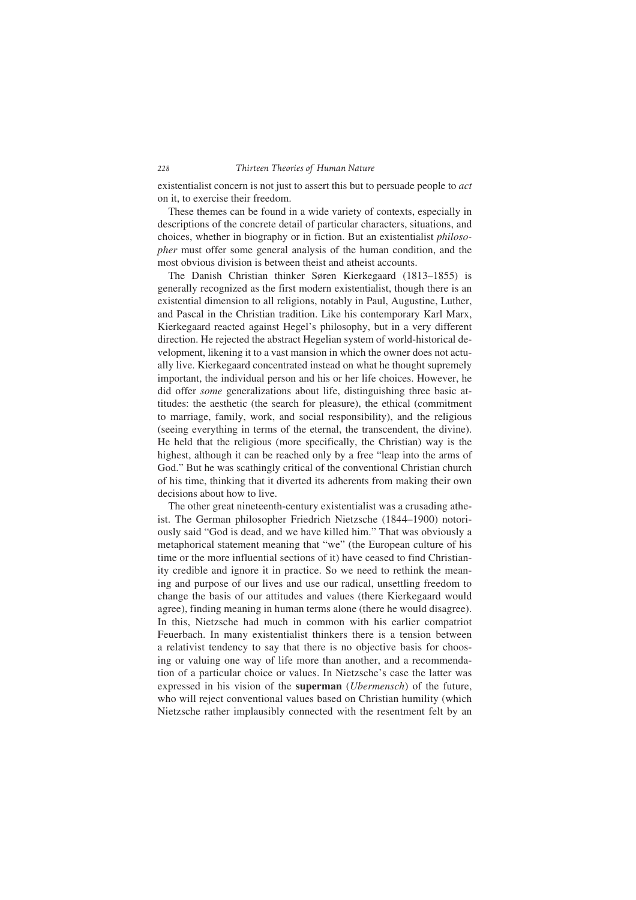existentialist concern is not just to assert this but to persuade people to *act* on it, to exercise their freedom.

These themes can be found in a wide variety of contexts, especially in descriptions of the concrete detail of particular characters, situations, and choices, whether in biography or in fiction. But an existentialist *philosopher* must offer some general analysis of the human condition, and the most obvious division is between theist and atheist accounts.

The Danish Christian thinker Søren Kierkegaard (1813–1855) is generally recognized as the first modern existentialist, though there is an existential dimension to all religions, notably in Paul, Augustine, Luther, and Pascal in the Christian tradition. Like his contemporary Karl Marx, Kierkegaard reacted against Hegel's philosophy, but in a very different direction. He rejected the abstract Hegelian system of world-historical development, likening it to a vast mansion in which the owner does not actually live. Kierkegaard concentrated instead on what he thought supremely important, the individual person and his or her life choices. However, he did offer *some* generalizations about life, distinguishing three basic attitudes: the aesthetic (the search for pleasure), the ethical (commitment to marriage, family, work, and social responsibility), and the religious (seeing everything in terms of the eternal, the transcendent, the divine). He held that the religious (more specifically, the Christian) way is the highest, although it can be reached only by a free "leap into the arms of God." But he was scathingly critical of the conventional Christian church of his time, thinking that it diverted its adherents from making their own decisions about how to live.

The other great nineteenth-century existentialist was a crusading atheist. The German philosopher Friedrich Nietzsche (1844–1900) notoriously said "God is dead, and we have killed him." That was obviously a metaphorical statement meaning that "we" (the European culture of his time or the more influential sections of it) have ceased to find Christianity credible and ignore it in practice. So we need to rethink the meaning and purpose of our lives and use our radical, unsettling freedom to change the basis of our attitudes and values (there Kierkegaard would agree), finding meaning in human terms alone (there he would disagree). In this, Nietzsche had much in common with his earlier compatriot Feuerbach. In many existentialist thinkers there is a tension between a relativist tendency to say that there is no objective basis for choosing or valuing one way of life more than another, and a recommendation of a particular choice or values. In Nietzsche's case the latter was expressed in his vision of the **superman** (*Ubermensch*) of the future, who will reject conventional values based on Christian humility (which Nietzsche rather implausibly connected with the resentment felt by an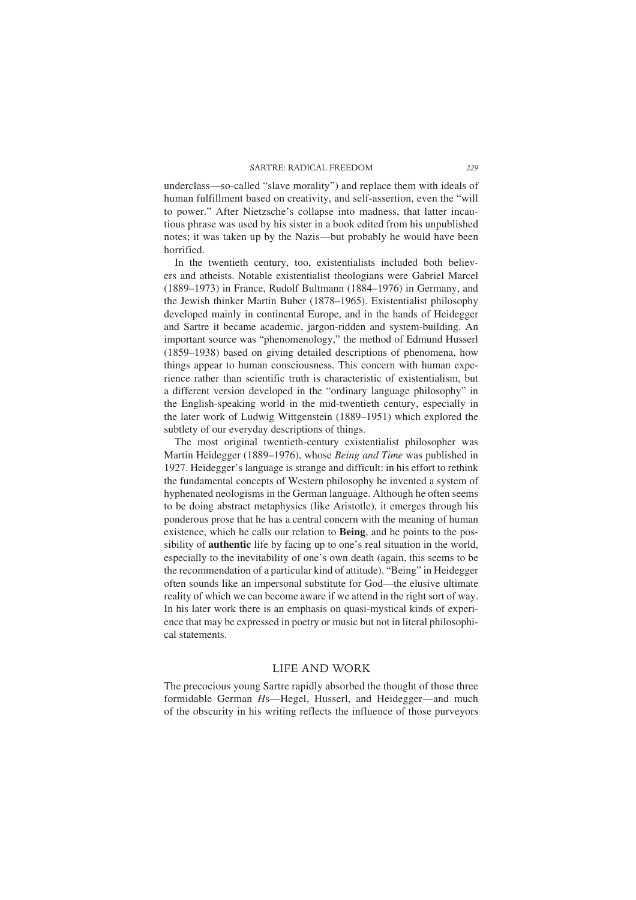underclass—so-called "slave morality") and replace them with ideals of human fulfillment based on creativity, and self-assertion, even the "will to power." After Nietzsche's collapse into madness, that latter incautious phrase was used by his sister in a book edited from his unpublished notes; it was taken up by the Nazis—but probably he would have been horrified.

In the twentieth century, too, existentialists included both believers and atheists. Notable existentialist theologians were Gabriel Marcel (1889–1973) in France, Rudolf Bultmann (1884–1976) in Germany, and the Jewish thinker Martin Buber (1878–1965). Existentialist philosophy developed mainly in continental Europe, and in the hands of Heidegger and Sartre it became academic, jargon-ridden and system-building. An important source was "phenomenology," the method of Edmund Husserl (1859–1938) based on giving detailed descriptions of phenomena, how things appear to human consciousness. This concern with human experience rather than scientific truth is characteristic of existentialism, but a different version developed in the "ordinary language philosophy" in the English-speaking world in the mid-twentieth century, especially in the later work of Ludwig Wittgenstein (1889–1951) which explored the subtlety of our everyday descriptions of things.

The most original twentieth-century existentialist philosopher was Martin Heidegger (1889–1976), whose *Being and Time* was published in 1927. Heidegger's language is strange and difficult: in his effort to rethink the fundamental concepts of Western philosophy he invented a system of hyphenated neologisms in the German language. Although he often seems to be doing abstract metaphysics (like Aristotle), it emerges through his ponderous prose that he has a central concern with the meaning of human existence, which he calls our relation to **Being**, and he points to the possibility of **authentic** life by facing up to one's real situation in the world, especially to the inevitability of one's own death (again, this seems to be the recommendation of a particular kind of attitude). "Being" in Heidegger often sounds like an impersonal substitute for God—the elusive ultimate reality of which we can become aware if we attend in the right sort of way. In his later work there is an emphasis on quasi-mystical kinds of experience that may be expressed in poetry or music but not in literal philosophical statements.

#### LIFE AND WORK

The precocious young Sartre rapidly absorbed the thought of those three formidable German *H*s—Hegel, Husserl, and Heidegger—and much of the obscurity in his writing reflects the influence of those purveyors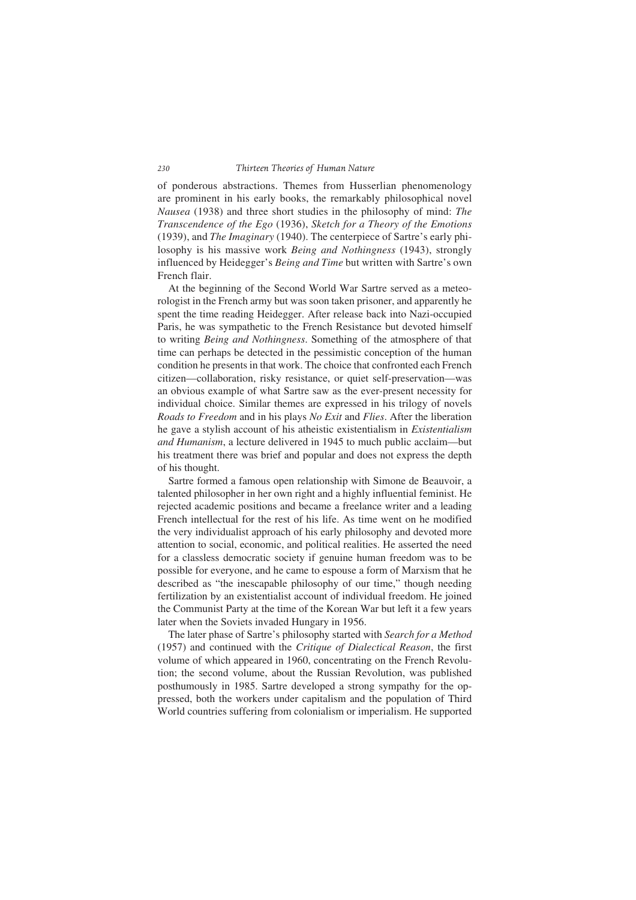of ponderous abstractions. Themes from Husserlian phenomenology are prominent in his early books, the remarkably philosophical novel *Nausea* (1938) and three short studies in the philosophy of mind: *The Transcendence of the Ego* (1936), *Sketch for a Theory of the Emotions* (1939), and *The Imaginary* (1940). The centerpiece of Sartre's early philosophy is his massive work *Being and Nothingness* (1943), strongly influenced by Heidegger's *Being and Time* but written with Sartre's own French flair.

At the beginning of the Second World War Sartre served as a meteorologist in the French army but was soon taken prisoner, and apparently he spent the time reading Heidegger. After release back into Nazi-occupied Paris, he was sympathetic to the French Resistance but devoted himself to writing *Being and Nothingness*. Something of the atmosphere of that time can perhaps be detected in the pessimistic conception of the human condition he presents in that work. The choice that confronted each French citizen—collaboration, risky resistance, or quiet self-preservation—was an obvious example of what Sartre saw as the ever-present necessity for individual choice. Similar themes are expressed in his trilogy of novels *Roads to Freedom* and in his plays *No Exit* and *Flies*. After the liberation he gave a stylish account of his atheistic existentialism in *Existentialism and Humanism*, a lecture delivered in 1945 to much public acclaim—but his treatment there was brief and popular and does not express the depth of his thought.

Sartre formed a famous open relationship with Simone de Beauvoir, a talented philosopher in her own right and a highly influential feminist. He rejected academic positions and became a freelance writer and a leading French intellectual for the rest of his life. As time went on he modified the very individualist approach of his early philosophy and devoted more attention to social, economic, and political realities. He asserted the need for a classless democratic society if genuine human freedom was to be possible for everyone, and he came to espouse a form of Marxism that he described as "the inescapable philosophy of our time," though needing fertilization by an existentialist account of individual freedom. He joined the Communist Party at the time of the Korean War but left it a few years later when the Soviets invaded Hungary in 1956.

The later phase of Sartre's philosophy started with *Search for a Method* (1957) and continued with the *Critique of Dialectical Reason*, the first volume of which appeared in 1960, concentrating on the French Revolution; the second volume, about the Russian Revolution, was published posthumously in 1985. Sartre developed a strong sympathy for the oppressed, both the workers under capitalism and the population of Third World countries suffering from colonialism or imperialism. He supported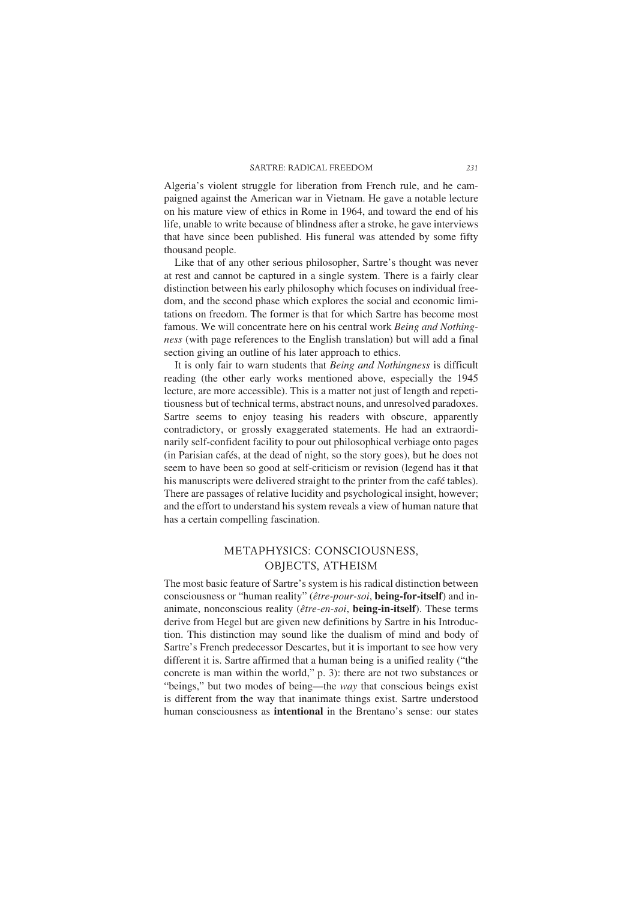Algeria's violent struggle for liberation from French rule, and he campaigned against the American war in Vietnam. He gave a notable lecture on his mature view of ethics in Rome in 1964, and toward the end of his life, unable to write because of blindness after a stroke, he gave interviews that have since been published. His funeral was attended by some fifty thousand people.

Like that of any other serious philosopher, Sartre's thought was never at rest and cannot be captured in a single system. There is a fairly clear distinction between his early philosophy which focuses on individual freedom, and the second phase which explores the social and economic limitations on freedom. The former is that for which Sartre has become most famous. We will concentrate here on his central work *Being and Nothingness* (with page references to the English translation) but will add a final section giving an outline of his later approach to ethics.

It is only fair to warn students that *Being and Nothingness* is difficult reading (the other early works mentioned above, especially the 1945 lecture, are more accessible). This is a matter not just of length and repetitiousness but of technical terms, abstract nouns, and unresolved paradoxes. Sartre seems to enjoy teasing his readers with obscure, apparently contradictory, or grossly exaggerated statements. He had an extraordinarily self- confident facility to pour out philosophical verbiage onto pages (in Parisian cafés, at the dead of night, so the story goes), but he does not seem to have been so good at self-criticism or revision (legend has it that his manuscripts were delivered straight to the printer from the café tables). There are passages of relative lucidity and psychological insight, however; and the effort to understand his system reveals a view of human nature that has a certain compelling fascination.

# METAPHYSICS: CONSCIOUSNESS, OBJECTS, ATHEISM

The most basic feature of Sartre's system is his radical distinction between consciousness or "human reality" (*être-pour-soi*, **being-for-itself**) and inanimate, nonconscious reality (*être-en-soi*, **being-in-itself**). These terms derive from Hegel but are given new definitions by Sartre in his Introduction. This distinction may sound like the dualism of mind and body of Sartre's French predecessor Descartes, but it is important to see how very different it is. Sartre affirmed that a human being is a unified reality ("the concrete is man within the world," p. 3): there are not two substances or "beings," but two modes of being—the *way* that conscious beings exist is different from the way that inanimate things exist. Sartre understood human consciousness as **intentional** in the Brentano's sense: our states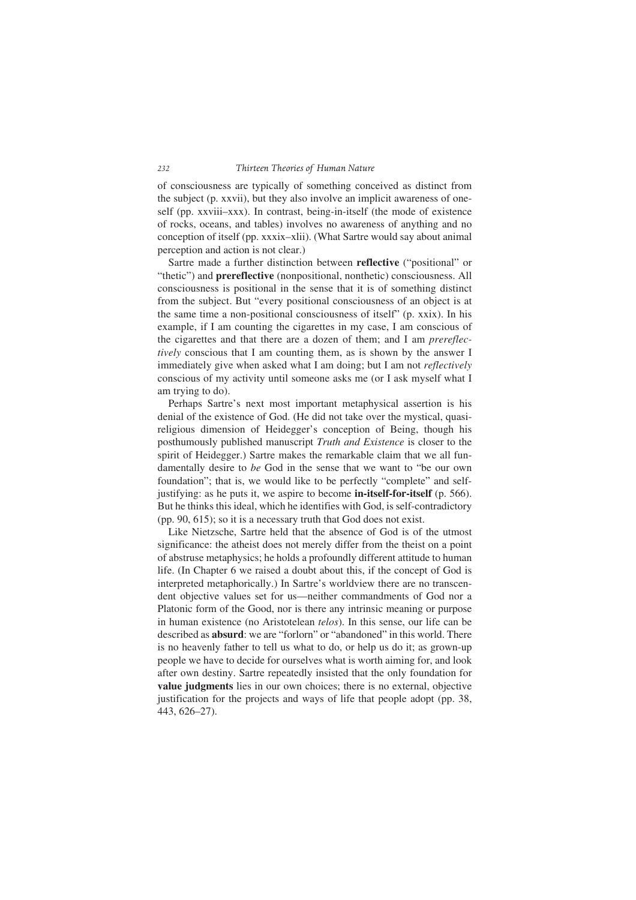of consciousness are typically of something conceived as distinct from the subject (p. xxvii), but they also involve an implicit awareness of oneself (pp. xxviii–xxx). In contrast, being-in-itself (the mode of existence of rocks, oceans, and tables) involves no awareness of anything and no conception of itself (pp. xxxix–xlii). (What Sartre would say about animal perception and action is not clear.)

Sartre made a further distinction between **reflective** ("positional" or "thetic") and **prereflective** (nonpositional, nonthetic) consciousness. All consciousness is positional in the sense that it is of something distinct from the subject. But "every positional consciousness of an object is at the same time a non-positional consciousness of itself" (p. xxix). In his example, if I am counting the cigarettes in my case, I am conscious of the cigarettes and that there are a dozen of them; and I am *prereflectively* conscious that I am counting them, as is shown by the answer I immediately give when asked what I am doing; but I am not *reflectively* conscious of my activity until someone asks me (or I ask myself what I am trying to do).

Perhaps Sartre's next most important metaphysical assertion is his denial of the existence of God. (He did not take over the mystical, quasireligious dimension of Heidegger's conception of Being, though his posthumously published manuscript *Truth and Existence* is closer to the spirit of Heidegger.) Sartre makes the remarkable claim that we all fundamentally desire to *be* God in the sense that we want to "be our own foundation"; that is, we would like to be perfectly "complete" and selfjustifying: as he puts it, we aspire to become **in-itself-for-itself** (p. 566). But he thinks this ideal, which he identifies with God, is self-contradictory (pp. 90, 615); so it is a necessary truth that God does not exist.

Like Nietzsche, Sartre held that the absence of God is of the utmost significance: the atheist does not merely differ from the theist on a point of abstruse metaphysics; he holds a profoundly different attitude to human life. (In Chapter 6 we raised a doubt about this, if the concept of God is interpreted metaphorically.) In Sartre's worldview there are no transcendent objective values set for us—neither commandments of God nor a Platonic form of the Good, nor is there any intrinsic meaning or purpose in human existence (no Aristotelean *telos*). In this sense, our life can be described as **absurd**: we are "forlorn" or "abandoned" in this world. There is no heavenly father to tell us what to do, or help us do it; as grown-up people we have to decide for ourselves what is worth aiming for, and look after own destiny. Sartre repeatedly insisted that the only foundation for **value judgments** lies in our own choices; there is no external, objective justification for the projects and ways of life that people adopt (pp. 38, 443, 626–27).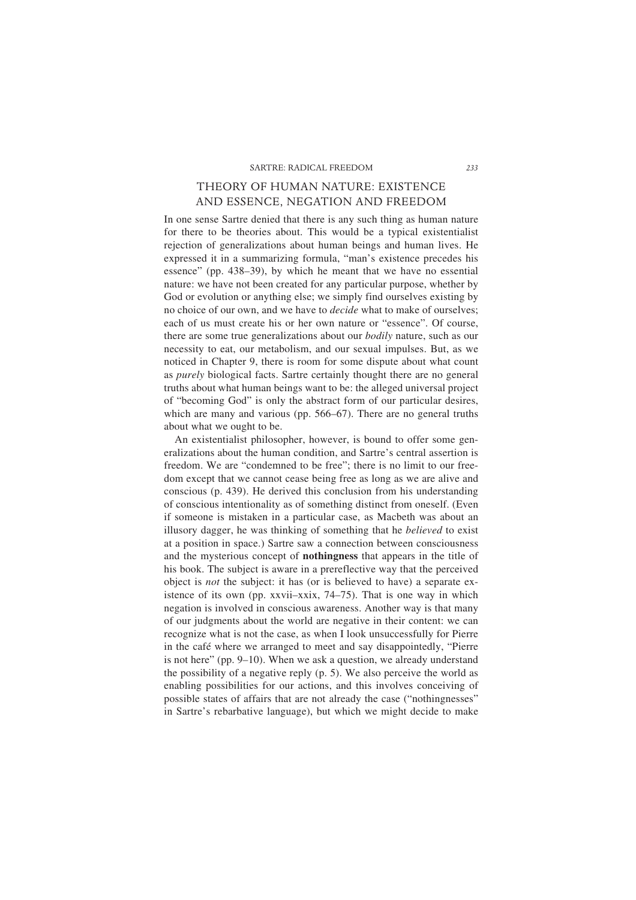# THEORY OF HUMAN NATURE: EXISTENCE AND ESSENCE, NEGATION AND FREEDOM

In one sense Sartre denied that there is any such thing as human nature for there to be theories about. This would be a typical existentialist rejection of generalizations about human beings and human lives. He expressed it in a summarizing formula, "man's existence precedes his essence" (pp. 438–39), by which he meant that we have no essential nature: we have not been created for any particular purpose, whether by God or evolution or anything else; we simply find ourselves existing by no choice of our own, and we have to *decide* what to make of ourselves; each of us must create his or her own nature or "essence". Of course, there are some true generalizations about our *bodily* nature, such as our necessity to eat, our metabolism, and our sexual impulses. But, as we noticed in Chapter 9, there is room for some dispute about what count as *purely* biological facts. Sartre certainly thought there are no general truths about what human beings want to be: the alleged universal project of "becoming God" is only the abstract form of our particular desires, which are many and various (pp. 566–67). There are no general truths about what we ought to be.

An existentialist philosopher, however, is bound to offer some generalizations about the human condition, and Sartre's central assertion is freedom. We are "condemned to be free"; there is no limit to our freedom except that we cannot cease being free as long as we are alive and conscious (p. 439). He derived this conclusion from his understanding of conscious intentionality as of something distinct from oneself. (Even if someone is mistaken in a particular case, as Macbeth was about an illusory dagger, he was thinking of something that he *believed* to exist at a position in space.) Sartre saw a connection between consciousness and the mysterious concept of **nothingness** that appears in the title of his book. The subject is aware in a prereflective way that the perceived object is *not* the subject: it has (or is believed to have) a separate existence of its own (pp. xxvii–xxix, 74–75). That is one way in which negation is involved in conscious awareness. Another way is that many of our judgments about the world are negative in their content: we can recognize what is not the case, as when I look unsuccessfully for Pierre in the café where we arranged to meet and say disappointedly, "Pierre is not here" (pp. 9–10). When we ask a question, we already understand the possibility of a negative reply (p. 5). We also perceive the world as enabling possibilities for our actions, and this involves conceiving of possible states of affairs that are not already the case ("nothingnesses" in Sartre's rebarbative language), but which we might decide to make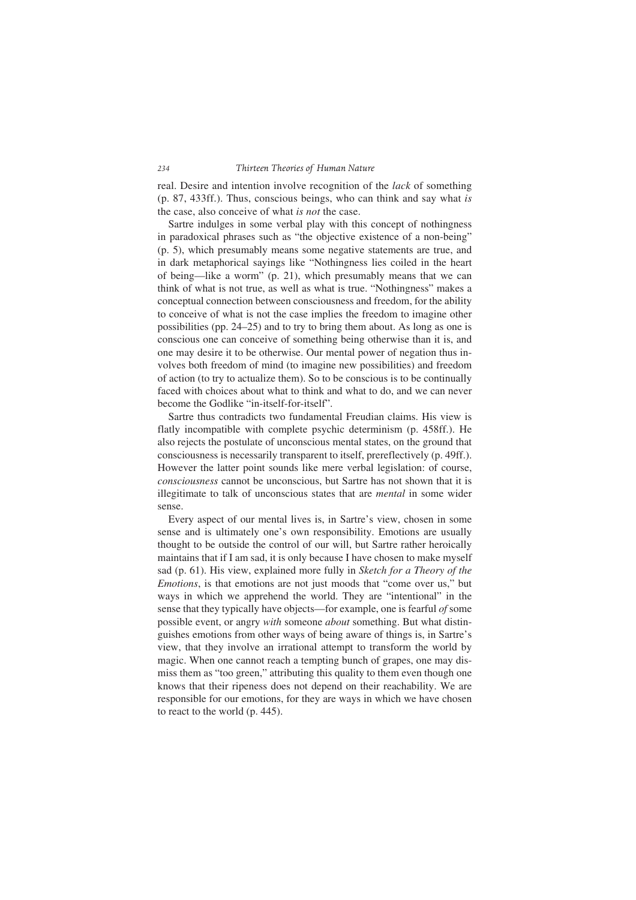real. Desire and intention involve recognition of the *lack* of something (p. 87, 433ff.). Thus, conscious beings, who can think and say what *is* the case, also conceive of what *is not* the case.

Sartre indulges in some verbal play with this concept of nothingness in paradoxical phrases such as "the objective existence of a non-being" (p. 5), which presumably means some negative statements are true, and in dark metaphorical sayings like "Nothingness lies coiled in the heart of being—like a worm" (p. 21), which presumably means that we can think of what is not true, as well as what is true. "Nothingness" makes a conceptual connection between consciousness and freedom, for the ability to conceive of what is not the case implies the freedom to imagine other possibilities (pp. 24–25) and to try to bring them about. As long as one is conscious one can conceive of something being otherwise than it is, and one may desire it to be otherwise. Our mental power of negation thus involves both freedom of mind (to imagine new possibilities) and freedom of action (to try to actualize them). So to be conscious is to be continually faced with choices about what to think and what to do, and we can never become the Godlike "in-itself-for-itself".

Sartre thus contradicts two fundamental Freudian claims. His view is flatly incompatible with complete psychic determinism (p. 458ff.). He also rejects the postulate of unconscious mental states, on the ground that consciousness is necessarily transparent to itself, prereflectively (p. 49ff.). However the latter point sounds like mere verbal legislation: of course, *consciousness* cannot be unconscious, but Sartre has not shown that it is illegitimate to talk of unconscious states that are *mental* in some wider sense.

Every aspect of our mental lives is, in Sartre's view, chosen in some sense and is ultimately one's own responsibility. Emotions are usually thought to be outside the control of our will, but Sartre rather heroically maintains that if I am sad, it is only because I have chosen to make myself sad (p. 61). His view, explained more fully in *Sketch for a Theory of the Emotions*, is that emotions are not just moods that "come over us," but ways in which we apprehend the world. They are "intentional" in the sense that they typically have objects—for example, one is fearful *of* some possible event, or angry *with* someone *about* something. But what distinguishes emotions from other ways of being aware of things is, in Sartre's view, that they involve an irrational attempt to transform the world by magic. When one cannot reach a tempting bunch of grapes, one may dismiss them as "too green," attributing this quality to them even though one knows that their ripeness does not depend on their reachability. We are responsible for our emotions, for they are ways in which we have chosen to react to the world (p. 445).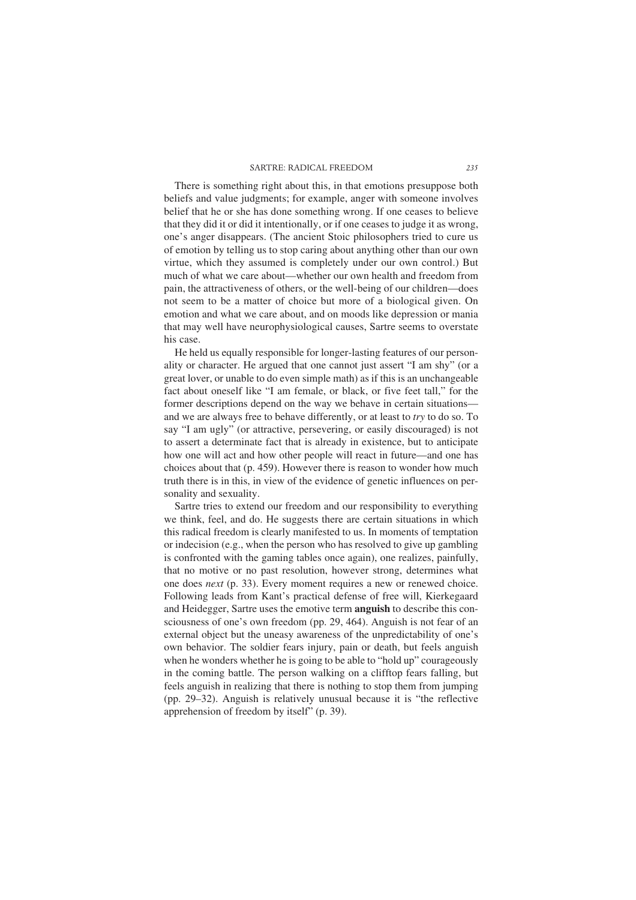#### SARTRE: RADICAL FREEDOM *235*

There is something right about this, in that emotions presuppose both beliefs and value judgments; for example, anger with someone involves belief that he or she has done something wrong. If one ceases to believe that they did it or did it intentionally, or if one ceases to judge it as wrong, one's anger disappears. (The ancient Stoic philosophers tried to cure us of emotion by telling us to stop caring about anything other than our own virtue, which they assumed is completely under our own control.) But much of what we care about—whether our own health and freedom from pain, the attractiveness of others, or the well-being of our children—does not seem to be a matter of choice but more of a biological given. On emotion and what we care about, and on moods like depression or mania that may well have neurophysiological causes, Sartre seems to overstate his case.

He held us equally responsible for longer-lasting features of our personality or character. He argued that one cannot just assert "I am shy" (or a great lover, or unable to do even simple math) as if this is an unchangeable fact about oneself like "I am female, or black, or five feet tall," for the former descriptions depend on the way we behave in certain situations and we are always free to behave differently, or at least to *try* to do so. To say "I am ugly" (or attractive, persevering, or easily discouraged) is not to assert a determinate fact that is already in existence, but to anticipate how one will act and how other people will react in future—and one has choices about that (p. 459). However there is reason to wonder how much truth there is in this, in view of the evidence of genetic influences on personality and sexuality.

Sartre tries to extend our freedom and our responsibility to everything we think, feel, and do. He suggests there are certain situations in which this radical freedom is clearly manifested to us. In moments of temptation or indecision (e.g., when the person who has resolved to give up gambling is confronted with the gaming tables once again), one realizes, painfully, that no motive or no past resolution, however strong, determines what one does *next* (p. 33). Every moment requires a new or renewed choice. Following leads from Kant's practical defense of free will, Kierkegaard and Heidegger, Sartre uses the emotive term **anguish** to describe this consciousness of one's own freedom (pp. 29, 464). Anguish is not fear of an external object but the uneasy awareness of the unpredictability of one's own behavior. The soldier fears injury, pain or death, but feels anguish when he wonders whether he is going to be able to "hold up" courageously in the coming battle. The person walking on a clifftop fears falling, but feels anguish in realizing that there is nothing to stop them from jumping (pp. 29–32). Anguish is relatively unusual because it is "the reflective apprehension of freedom by itself" (p. 39).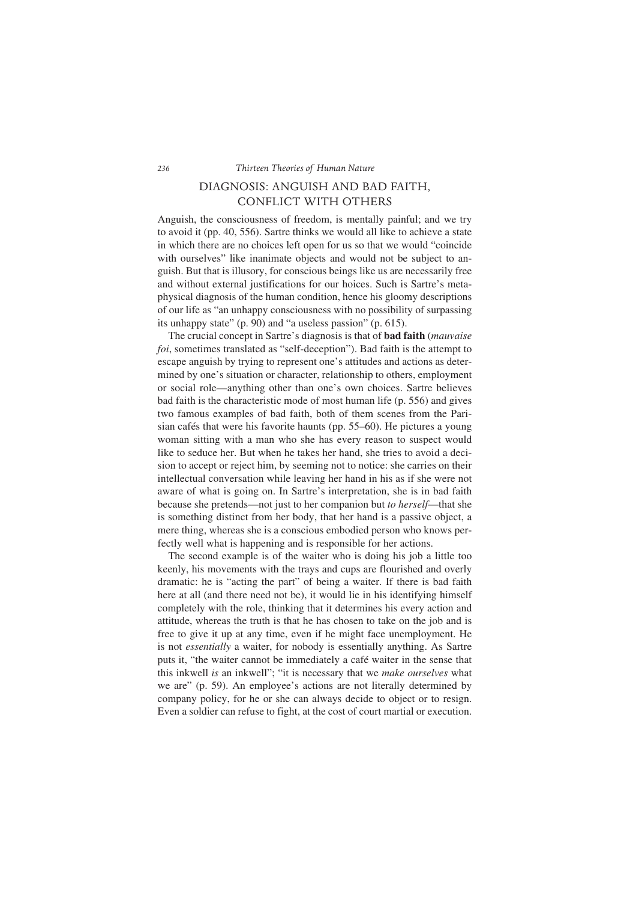# DIAGNOSIS: ANGUISH AND BAD FAITH, CONFLICT WITH OTHERS

Anguish, the consciousness of freedom, is mentally painful; and we try to avoid it (pp. 40, 556). Sartre thinks we would all like to achieve a state in which there are no choices left open for us so that we would "coincide with ourselves" like inanimate objects and would not be subject to anguish. But that is illusory, for conscious beings like us are necessarily free and without external justifications for our hoices. Such is Sartre's metaphysical diagnosis of the human condition, hence his gloomy descriptions of our life as "an unhappy consciousness with no possibility of surpassing its unhappy state" (p. 90) and "a useless passion" (p. 615).

The crucial concept in Sartre's diagnosis is that of **bad faith** (*mauvaise foi*, sometimes translated as "self-deception"). Bad faith is the attempt to escape anguish by trying to represent one's attitudes and actions as determined by one's situation or character, relationship to others, employment or social role—anything other than one's own choices. Sartre believes bad faith is the characteristic mode of most human life (p. 556) and gives two famous examples of bad faith, both of them scenes from the Parisian cafés that were his favorite haunts (pp. 55–60). He pictures a young woman sitting with a man who she has every reason to suspect would like to seduce her. But when he takes her hand, she tries to avoid a decision to accept or reject him, by seeming not to notice: she carries on their intellectual conversation while leaving her hand in his as if she were not aware of what is going on. In Sartre's interpretation, she is in bad faith because she pretends—not just to her companion but *to herself*—that she is something distinct from her body, that her hand is a passive object, a mere thing, whereas she is a conscious embodied person who knows perfectly well what is happening and is responsible for her actions.

The second example is of the waiter who is doing his job a little too keenly, his movements with the trays and cups are flourished and overly dramatic: he is "acting the part" of being a waiter. If there is bad faith here at all (and there need not be), it would lie in his identifying himself completely with the role, thinking that it determines his every action and attitude, whereas the truth is that he has chosen to take on the job and is free to give it up at any time, even if he might face unemployment. He is not *essentially* a waiter, for nobody is essentially anything. As Sartre puts it, "the waiter cannot be immediately a café waiter in the sense that this inkwell *is* an inkwell"; "it is necessary that we *make ourselves* what we are" (p. 59). An employee's actions are not literally determined by company policy, for he or she can always decide to object or to resign. Even a soldier can refuse to fight, at the cost of court martial or execution.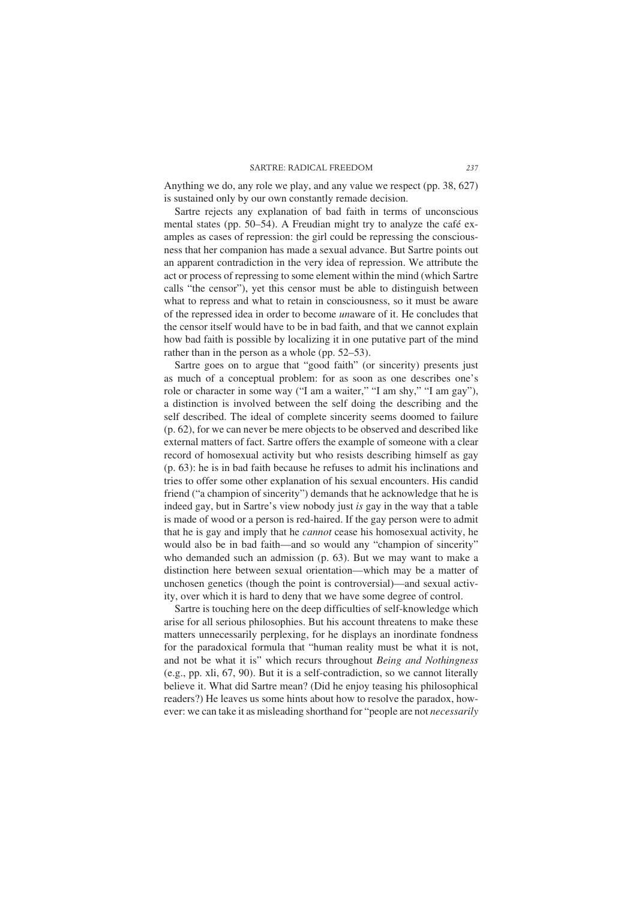Anything we do, any role we play, and any value we respect (pp. 38, 627) is sustained only by our own constantly remade decision.

Sartre rejects any explanation of bad faith in terms of unconscious mental states (pp. 50–54). A Freudian might try to analyze the café examples as cases of repression: the girl could be repressing the consciousness that her companion has made a sexual advance. But Sartre points out an apparent contradiction in the very idea of repression. We attribute the act or process of repressing to some element within the mind (which Sartre calls "the censor"), yet this censor must be able to distinguish between what to repress and what to retain in consciousness, so it must be aware of the repressed idea in order to become *un*aware of it. He concludes that the censor itself would have to be in bad faith, and that we cannot explain how bad faith is possible by localizing it in one putative part of the mind rather than in the person as a whole (pp. 52–53).

Sartre goes on to argue that "good faith" (or sincerity) presents just as much of a conceptual problem: for as soon as one describes one's role or character in some way ("I am a waiter," "I am shy," "I am gay"), a distinction is involved between the self doing the describing and the self described. The ideal of complete sincerity seems doomed to failure (p. 62), for we can never be mere objects to be observed and described like external matters of fact. Sartre offers the example of someone with a clear record of homosexual activity but who resists describing himself as gay (p. 63): he is in bad faith because he refuses to admit his inclinations and tries to offer some other explanation of his sexual encounters. His candid friend ("a champion of sincerity") demands that he acknowledge that he is indeed gay, but in Sartre's view nobody just *is* gay in the way that a table is made of wood or a person is red-haired. If the gay person were to admit that he is gay and imply that he *cannot* cease his homosexual activity, he would also be in bad faith—and so would any "champion of sincerity" who demanded such an admission (p. 63). But we may want to make a distinction here between sexual orientation—which may be a matter of unchosen genetics (though the point is controversial)—and sexual activity, over which it is hard to deny that we have some degree of control.

Sartre is touching here on the deep difficulties of self-knowledge which arise for all serious philosophies. But his account threatens to make these matters unnecessarily perplexing, for he displays an inordinate fondness for the paradoxical formula that "human reality must be what it is not, and not be what it is" which recurs throughout *Being and Nothingness* (e.g., pp. xli, 67, 90). But it is a self-contradiction, so we cannot literally believe it. What did Sartre mean? (Did he enjoy teasing his philosophical readers?) He leaves us some hints about how to resolve the paradox, however: we can take it as misleading shorthand for "people are not *necessarily*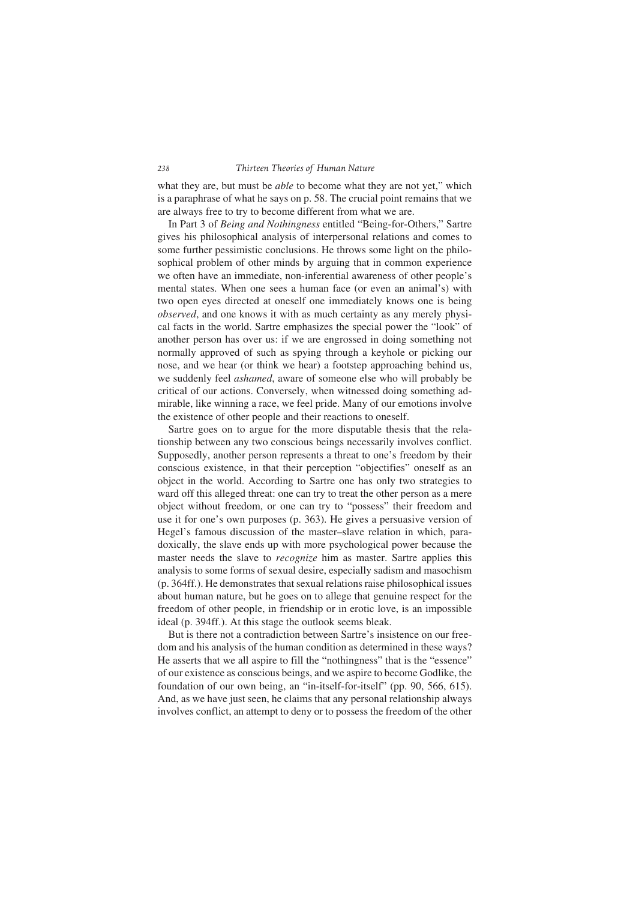what they are, but must be *able* to become what they are not yet," which is a paraphrase of what he says on p. 58. The crucial point remains that we are always free to try to become different from what we are.

In Part 3 of *Being and Nothingness* entitled "Being-for-Others," Sartre gives his philosophical analysis of interpersonal relations and comes to some further pessimistic conclusions. He throws some light on the philosophical problem of other minds by arguing that in common experience we often have an immediate, non-inferential awareness of other people's mental states. When one sees a human face (or even an animal's) with two open eyes directed at oneself one immediately knows one is being *observed*, and one knows it with as much certainty as any merely physical facts in the world. Sartre emphasizes the special power the "look" of another person has over us: if we are engrossed in doing something not normally approved of such as spying through a keyhole or picking our nose, and we hear (or think we hear) a footstep approaching behind us, we suddenly feel *ashamed*, aware of someone else who will probably be critical of our actions. Conversely, when witnessed doing something admirable, like winning a race, we feel pride. Many of our emotions involve the existence of other people and their reactions to oneself.

Sartre goes on to argue for the more disputable thesis that the relationship between any two conscious beings necessarily involves conflict. Supposedly, another person represents a threat to one's freedom by their conscious existence, in that their perception "objectifies" oneself as an object in the world. According to Sartre one has only two strategies to ward off this alleged threat: one can try to treat the other person as a mere object without freedom, or one can try to "possess" their freedom and use it for one's own purposes (p. 363). He gives a persuasive version of Hegel's famous discussion of the master–slave relation in which, paradoxically, the slave ends up with more psychological power because the master needs the slave to *recognize* him as master. Sartre applies this analysis to some forms of sexual desire, especially sadism and masochism (p. 364ff.). He demonstrates that sexual relations raise philosophical issues about human nature, but he goes on to allege that genuine respect for the freedom of other people, in friendship or in erotic love, is an impossible ideal (p. 394ff.). At this stage the outlook seems bleak.

But is there not a contradiction between Sartre's insistence on our freedom and his analysis of the human condition as determined in these ways? He asserts that we all aspire to fill the "nothingness" that is the "essence" of our existence as conscious beings, and we aspire to become Godlike, the foundation of our own being, an "in-itself-for-itself" (pp. 90, 566, 615). And, as we have just seen, he claims that any personal relationship always involves conflict, an attempt to deny or to possess the freedom of the other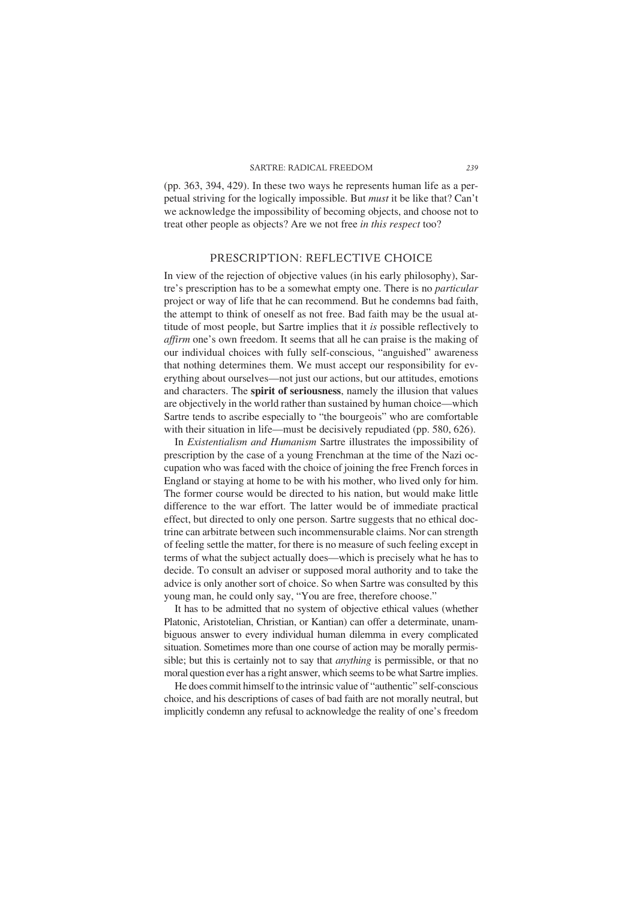(pp. 363, 394, 429). In these two ways he represents human life as a perpetual striving for the logically impossible. But *must* it be like that? Can't we acknowledge the impossibility of becoming objects, and choose not to treat other people as objects? Are we not free *in this respect* too?

### PRESCRIPTION: REFLECTIVE CHOICE

In view of the rejection of objective values (in his early philosophy), Sartre's prescription has to be a somewhat empty one. There is no *particular* project or way of life that he can recommend. But he condemns bad faith, the attempt to think of oneself as not free. Bad faith may be the usual attitude of most people, but Sartre implies that it *is* possible reflectively to *affirm* one's own freedom. It seems that all he can praise is the making of our individual choices with fully self-conscious, "anguished" awareness that nothing determines them. We must accept our responsibility for everything about ourselves—not just our actions, but our attitudes, emotions and characters. The **spirit of seriousness**, namely the illusion that values are objectively in the world rather than sustained by human choice—which Sartre tends to ascribe especially to "the bourgeois" who are comfortable with their situation in life—must be decisively repudiated (pp. 580, 626).

In *Existentialism and Humanism* Sartre illustrates the impossibility of prescription by the case of a young Frenchman at the time of the Nazi occupation who was faced with the choice of joining the free French forces in England or staying at home to be with his mother, who lived only for him. The former course would be directed to his nation, but would make little difference to the war effort. The latter would be of immediate practical effect, but directed to only one person. Sartre suggests that no ethical doctrine can arbitrate between such incommensurable claims. Nor can strength of feeling settle the matter, for there is no measure of such feeling except in terms of what the subject actually does—which is precisely what he has to decide. To consult an adviser or supposed moral authority and to take the advice is only another sort of choice. So when Sartre was consulted by this young man, he could only say, "You are free, therefore choose."

It has to be admitted that no system of objective ethical values (whether Platonic, Aristotelian, Christian, or Kantian) can offer a determinate, unambiguous answer to every individual human dilemma in every complicated situation. Sometimes more than one course of action may be morally permissible; but this is certainly not to say that *anything* is permissible, or that no moral question ever has a right answer, which seems to be what Sartre implies.

He does commit himself to the intrinsic value of "authentic" self- conscious choice, and his descriptions of cases of bad faith are not morally neutral, but implicitly condemn any refusal to acknowledge the reality of one's freedom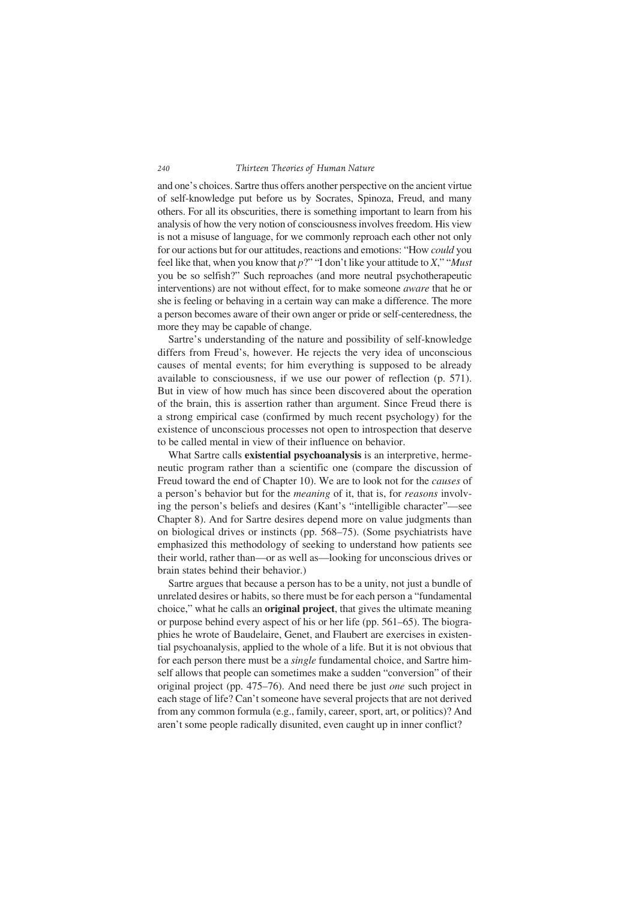and one's choices. Sartre thus offers another perspective on the ancient virtue of self-knowledge put before us by Socrates, Spinoza, Freud, and many others. For all its obscurities, there is something important to learn from his analysis of how the very notion of consciousness involves freedom. His view is not a misuse of language, for we commonly reproach each other not only for our actions but for our attitudes, reactions and emotions: "How *could* you feel like that, when you know that *p*?" "I don't like your attitude to *X*," "*Must* you be so selfish?" Such reproaches (and more neutral psychotherapeutic interventions) are not without effect, for to make someone *aware* that he or she is feeling or behaving in a certain way can make a difference. The more a person becomes aware of their own anger or pride or self-centeredness, the more they may be capable of change.

Sartre's understanding of the nature and possibility of self-knowledge differs from Freud's, however. He rejects the very idea of unconscious causes of mental events; for him everything is supposed to be already available to consciousness, if we use our power of reflection (p. 571). But in view of how much has since been discovered about the operation of the brain, this is assertion rather than argument. Since Freud there is a strong empirical case (confirmed by much recent psychology) for the existence of unconscious processes not open to introspection that deserve to be called mental in view of their influence on behavior.

What Sartre calls **existential psychoanalysis** is an interpretive, hermeneutic program rather than a scientific one (compare the discussion of Freud toward the end of Chapter 10). We are to look not for the *causes* of a person's behavior but for the *meaning* of it, that is, for *reasons* involving the person's beliefs and desires (Kant's "intelligible character"—see Chapter 8). And for Sartre desires depend more on value judgments than on biological drives or instincts (pp. 568–75). (Some psychiatrists have emphasized this methodology of seeking to understand how patients see their world, rather than—or as well as—looking for unconscious drives or brain states behind their behavior.)

Sartre argues that because a person has to be a unity, not just a bundle of unrelated desires or habits, so there must be for each person a "fundamental choice," what he calls an **original project**, that gives the ultimate meaning or purpose behind every aspect of his or her life (pp. 561–65). The biographies he wrote of Baudelaire, Genet, and Flaubert are exercises in existential psychoanalysis, applied to the whole of a life. But it is not obvious that for each person there must be a *single* fundamental choice, and Sartre himself allows that people can sometimes make a sudden "conversion" of their original project (pp. 475–76). And need there be just *one* such project in each stage of life? Can't someone have several projects that are not derived from any common formula (e.g., family, career, sport, art, or politics)? And aren't some people radically disunited, even caught up in inner conflict?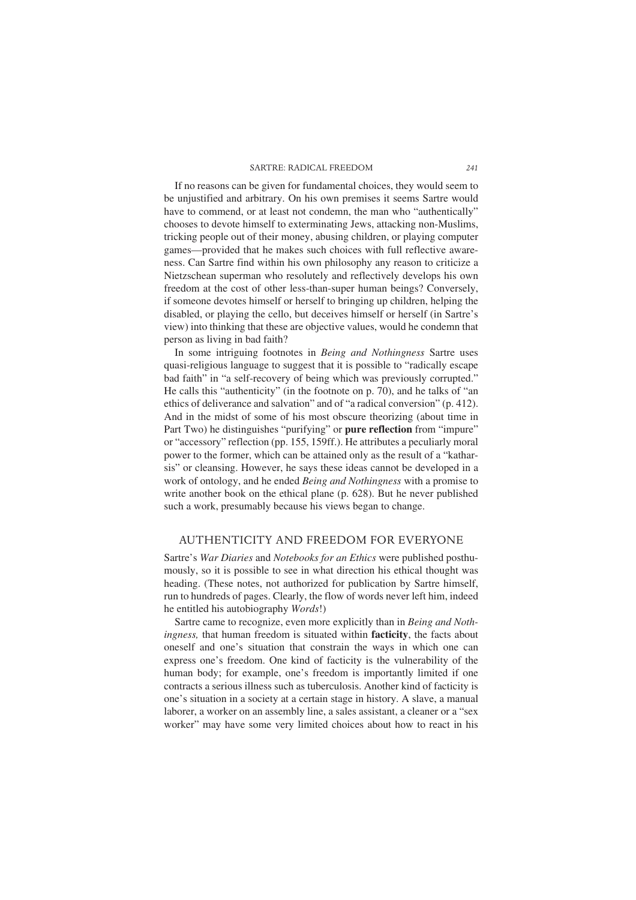#### SARTRE: RADICAL FREEDOM *241*

If no reasons can be given for fundamental choices, they would seem to be unjustified and arbitrary. On his own premises it seems Sartre would have to commend, or at least not condemn, the man who "authentically" chooses to devote himself to exterminating Jews, attacking non-Muslims, tricking people out of their money, abusing children, or playing computer games—provided that he makes such choices with full reflective awareness. Can Sartre find within his own philosophy any reason to criticize a Nietzschean superman who resolutely and reflectively develops his own freedom at the cost of other less-than-super human beings? Conversely, if someone devotes himself or herself to bringing up children, helping the disabled, or playing the cello, but deceives himself or herself (in Sartre's view) into thinking that these are objective values, would he condemn that person as living in bad faith?

In some intriguing footnotes in *Being and Nothingness* Sartre uses quasi-religious language to suggest that it is possible to "radically escape bad faith" in "a self-recovery of being which was previously corrupted." He calls this "authenticity" (in the footnote on p. 70), and he talks of "an ethics of deliverance and salvation" and of "a radical conversion" (p. 412). And in the midst of some of his most obscure theorizing (about time in Part Two) he distinguishes "purifying" or **pure reflection** from "impure" or "accessory" reflection (pp. 155, 159ff.). He attributes a peculiarly moral power to the former, which can be attained only as the result of a "katharsis" or cleansing. However, he says these ideas cannot be developed in a work of ontology, and he ended *Being and Nothingness* with a promise to write another book on the ethical plane (p. 628). But he never published such a work, presumably because his views began to change.

# AUTHENTICITY AND FREEDOM FOR EVERYONE

Sartre's *War Diaries* and *Notebooks for an Ethics* were published posthumously, so it is possible to see in what direction his ethical thought was heading. (These notes, not authorized for publication by Sartre himself, run to hundreds of pages. Clearly, the flow of words never left him, indeed he entitled his autobiography *Words*!)

Sartre came to recognize, even more explicitly than in *Being and Nothingness,* that human freedom is situated within **facticity**, the facts about oneself and one's situation that constrain the ways in which one can express one's freedom. One kind of facticity is the vulnerability of the human body; for example, one's freedom is importantly limited if one contracts a serious illness such as tuberculosis. Another kind of facticity is one's situation in a society at a certain stage in history. A slave, a manual laborer, a worker on an assembly line, a sales assistant, a cleaner or a "sex worker" may have some very limited choices about how to react in his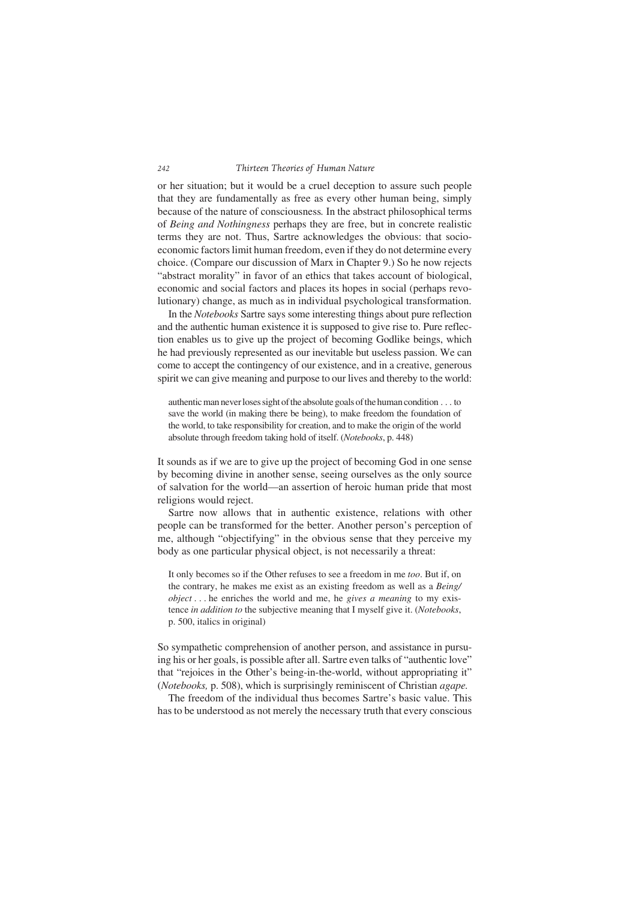or her situation; but it would be a cruel deception to assure such people that they are fundamentally as free as every other human being, simply because of the nature of consciousness*.* In the abstract philosophical terms of *Being and Nothingness* perhaps they are free, but in concrete realistic terms they are not. Thus, Sartre acknowledges the obvious: that socioeconomic factors limit human freedom, even if they do not determine every choice. (Compare our discussion of Marx in Chapter 9.) So he now rejects " abstract morality" in favor of an ethics that takes account of biological, economic and social factors and places its hopes in social (perhaps revolutionary) change, as much as in individual psychological transformation.

In the *Notebooks* Sartre says some interesting things about pure reflection and the authentic human existence it is supposed to give rise to. Pure reflection enables us to give up the project of becoming Godlike beings, which he had previously represented as our inevitable but useless passion. We can come to accept the contingency of our existence, and in a creative, generous spirit we can give meaning and purpose to our lives and thereby to the world:

authentic man never loses sight of the absolute goals of the human condition . . . to save the world (in making there be being), to make freedom the foundation of the world, to take responsibility for creation, and to make the origin of the world absolute through freedom taking hold of itself. (*Notebooks*, p. 448)

It sounds as if we are to give up the project of becoming God in one sense by becoming divine in another sense, seeing ourselves as the only source of salvation for the world—an assertion of heroic human pride that most religions would reject.

Sartre now allows that in authentic existence, relations with other people can be transformed for the better. Another person's perception of me, although "objectifying" in the obvious sense that they perceive my body as one particular physical object, is not necessarily a threat:

It only becomes so if the Other refuses to see a freedom in me *too*. But if, on the contrary, he makes me exist as an existing freedom as well as a *Being/ object* . . . he enriches the world and me, he *gives a meaning* to my existence *in addition to* the subjective meaning that I myself give it. (*Notebooks*, p. 500, italics in original)

So sympathetic comprehension of another person, and assistance in pursuing his or her goals, is possible after all. Sartre even talks of "authentic love" that "rejoices in the Other's being-in-the-world, without appropriating it" (*Notebooks,* p. 508), which is surprisingly reminiscent of Christian *agape.*

The freedom of the individual thus becomes Sartre's basic value. This has to be understood as not merely the necessary truth that every conscious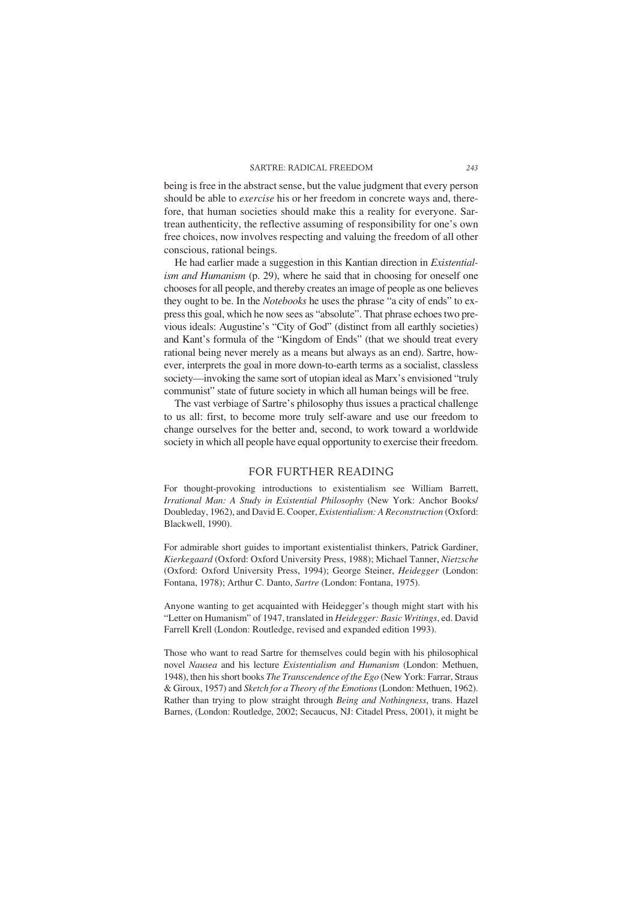being is free in the abstract sense, but the value judgment that every person should be able to *exercise* his or her freedom in concrete ways and, therefore, that human societies should make this a reality for everyone. Sartrean authenticity, the reflective assuming of responsibility for one's own free choices, now involves respecting and valuing the freedom of all other conscious, rational beings.

He had earlier made a suggestion in this Kantian direction in *Existentialism and Humanism* (p. 29), where he said that in choosing for oneself one chooses for all people, and thereby creates an image of people as one believes they ought to be. In the *Notebooks* he uses the phrase "a city of ends" to express this goal, which he now sees as "absolute". That phrase echoes two previous ideals: Augustine's "City of God" (distinct from all earthly societies) and Kant's formula of the "Kingdom of Ends" (that we should treat every rational being never merely as a means but always as an end). Sartre, however, interprets the goal in more down-to-earth terms as a socialist, classless society—invoking the same sort of utopian ideal as Marx's envisioned "truly communist" state of future society in which all human beings will be free.

The vast verbiage of Sartre's philosophy thus issues a practical challenge to us all: first, to become more truly self-aware and use our freedom to change ourselves for the better and, second, to work toward a worldwide society in which all people have equal opportunity to exercise their freedom.

#### FOR FURTHER READING

For thought-provoking introductions to existentialism see William Barrett, *Irrational Man: A Study in Existential Philosophy* (New York: Anchor Books/ Doubleday, 1962), and David E. Cooper, *Existentialism: A Reconstruction* (Oxford: Blackwell, 1990).

For admirable short guides to important existentialist thinkers, Patrick Gardiner, *Kierkegaard* (Oxford: Oxford University Press, 1988); Michael Tanner, *Nietzsche* (Oxford: Oxford University Press, 1994); George Steiner, *Heidegger* (London: Fontana, 1978); Arthur C. Danto, *Sartre* (London: Fontana, 1975).

Anyone wanting to get acquainted with Heidegger's though might start with his "Letter on Humanism" of 1947, translated in *Heidegger: Basic Writings*, ed. David Farrell Krell (London: Routledge, revised and expanded edition 1993).

Those who want to read Sartre for themselves could begin with his philosophical novel *Nausea* and his lecture *Existentialism and Humanism* (London: Methuen, 1948), then his short books *The Transcendence of the Ego* (New York: Farrar, Straus & Giroux, 1957) and *Sketch for a Theory of the Emotions* (London: Methuen, 1962). Rather than trying to plow straight through *Being and Nothingness*, trans. Hazel Barnes, (London: Routledge, 2002; Secaucus, NJ: Citadel Press, 2001), it might be